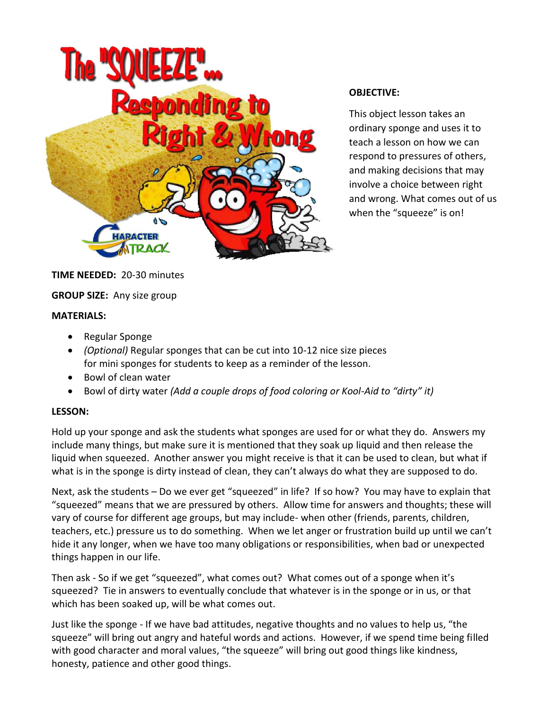

#### **OBJECTIVE:**

This object lesson takes an ordinary sponge and uses it to teach a lesson on how we can respond to pressures of others, and making decisions that may involve a choice between right and wrong. What comes out of us when the "squeeze" is on!

**TIME NEEDED:** 20-30 minutes

## **GROUP SIZE:** Any size group

#### **MATERIALS:**

- Regular Sponge
- *(Optional)* Regular sponges that can be cut into 10-12 nice size pieces for mini sponges for students to keep as a reminder of the lesson.
- Bowl of clean water
- Bowl of dirty water *(Add a couple drops of food coloring or Kool-Aid to "dirty" it)*

## **LESSON:**

Hold up your sponge and ask the students what sponges are used for or what they do. Answers my include many things, but make sure it is mentioned that they soak up liquid and then release the liquid when squeezed. Another answer you might receive is that it can be used to clean, but what if what is in the sponge is dirty instead of clean, they can't always do what they are supposed to do.

Next, ask the students – Do we ever get "squeezed" in life? If so how? You may have to explain that "squeezed" means that we are pressured by others. Allow time for answers and thoughts; these will vary of course for different age groups, but may include- when other (friends, parents, children, teachers, etc.) pressure us to do something. When we let anger or frustration build up until we can't hide it any longer, when we have too many obligations or responsibilities, when bad or unexpected things happen in our life.

Then ask - So if we get "squeezed", what comes out? What comes out of a sponge when it's squeezed? Tie in answers to eventually conclude that whatever is in the sponge or in us, or that which has been soaked up, will be what comes out.

Just like the sponge - If we have bad attitudes, negative thoughts and no values to help us, "the squeeze" will bring out angry and hateful words and actions. However, if we spend time being filled with good character and moral values, "the squeeze" will bring out good things like kindness, honesty, patience and other good things.